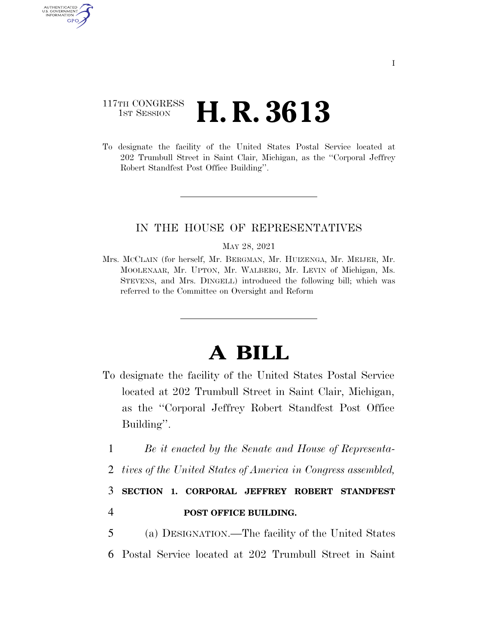### 117TH CONGRESS <sup>TH CONGRESS</sup> **H. R. 3613**

AUTHENTICATED U.S. GOVERNMENT GPO

> To designate the facility of the United States Postal Service located at 202 Trumbull Street in Saint Clair, Michigan, as the ''Corporal Jeffrey Robert Standfest Post Office Building''.

#### IN THE HOUSE OF REPRESENTATIVES

#### MAY 28, 2021

Mrs. MCCLAIN (for herself, Mr. BERGMAN, Mr. HUIZENGA, Mr. MEIJER, Mr. MOOLENAAR, Mr. UPTON, Mr. WALBERG, Mr. LEVIN of Michigan, Ms. STEVENS, and Mrs. DINGELL) introduced the following bill; which was referred to the Committee on Oversight and Reform

# **A BILL**

- To designate the facility of the United States Postal Service located at 202 Trumbull Street in Saint Clair, Michigan, as the ''Corporal Jeffrey Robert Standfest Post Office Building''.
	- 1 *Be it enacted by the Senate and House of Representa-*
	- 2 *tives of the United States of America in Congress assembled,*

## 3 **SECTION 1. CORPORAL JEFFREY ROBERT STANDFEST**  4 **POST OFFICE BUILDING.**

5 (a) DESIGNATION.—The facility of the United States 6 Postal Service located at 202 Trumbull Street in Saint